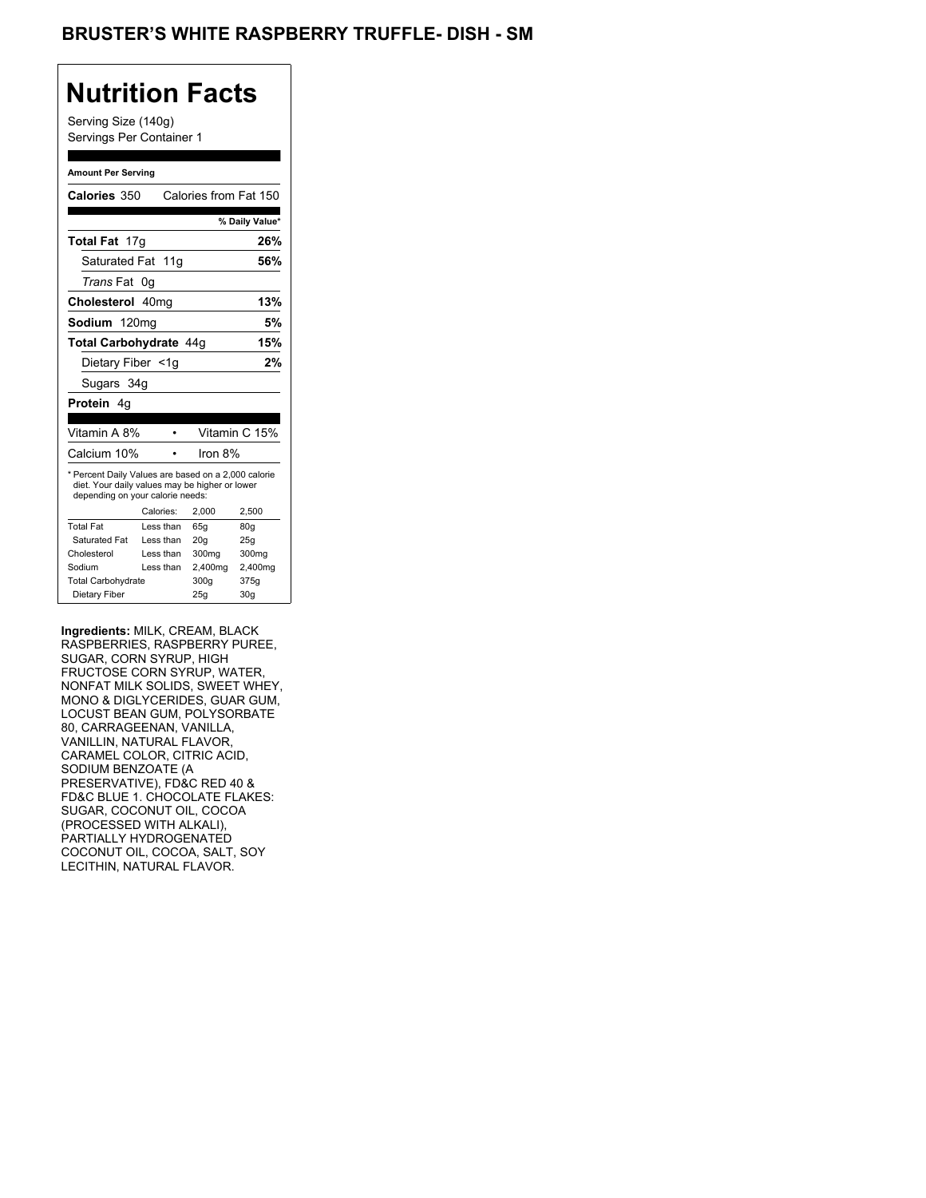# **Nutrition Facts**

Serving Size (140g) Servings Per Container 1

#### **Amount Per Serving**

| Calories 350                                                                                                                              |           | Calories from Fat 150 |                 |
|-------------------------------------------------------------------------------------------------------------------------------------------|-----------|-----------------------|-----------------|
|                                                                                                                                           |           |                       | % Daily Value*  |
| <b>Total Fat</b> 17g                                                                                                                      |           |                       | 26%             |
| Saturated Fat 11g                                                                                                                         |           |                       | 56%             |
| <i>Trans</i> Fat                                                                                                                          | 0g        |                       |                 |
| Cholesterol 40mg                                                                                                                          |           |                       | 13%             |
| Sodium 120mg                                                                                                                              |           |                       | 5%              |
| Total Carbohydrate 44q                                                                                                                    |           |                       | 15%             |
| Dietary Fiber <1g                                                                                                                         |           |                       | 2%              |
| Sugars 34g                                                                                                                                |           |                       |                 |
| <b>Protein</b> 4a                                                                                                                         |           |                       |                 |
|                                                                                                                                           |           |                       |                 |
| Vitamin A 8%                                                                                                                              |           |                       | Vitamin C 15%   |
| Calcium 10%                                                                                                                               |           | Iron 8%               |                 |
| * Percent Daily Values are based on a 2,000 calorie<br>diet. Your daily values may be higher or lower<br>depending on your calorie needs: |           |                       |                 |
|                                                                                                                                           | Calories: | 2.000                 | 2,500           |
| <b>Total Fat</b>                                                                                                                          | Less than | 65q                   | 80q             |
| Saturated Fat                                                                                                                             | Less than | 20 <sub>g</sub>       | 25q             |
| Cholesterol                                                                                                                               | Less than | 300mg                 | 300mg           |
| Sodium                                                                                                                                    | Less than | 2,400mg               | 2,400mg         |
| <b>Total Carbohydrate</b>                                                                                                                 |           | 300g                  | 375g            |
| Dietary Fiber                                                                                                                             |           | 25g                   | 30 <sub>g</sub> |

**Ingredients:** MILK, CREAM, BLACK RASPBERRIES, RASPBERRY PUREE, SUGAR, CORN SYRUP, HIGH FRUCTOSE CORN SYRUP, WATER, NONFAT MILK SOLIDS, SWEET WHEY, MONO & DIGLYCERIDES, GUAR GUM, LOCUST BEAN GUM, POLYSORBATE 80, CARRAGEENAN, VANILLA, VANILLIN, NATURAL FLAVOR, CARAMEL COLOR, CITRIC ACID, SODIUM BENZOATE (A PRESERVATIVE), FD&C RED 40 & FD&C BLUE 1. CHOCOLATE FLAKES: SUGAR, COCONUT OIL, COCOA (PROCESSED WITH ALKALI), PARTIALLY HYDROGENATED COCONUT OIL, COCOA, SALT, SOY LECITHIN, NATURAL FLAVOR.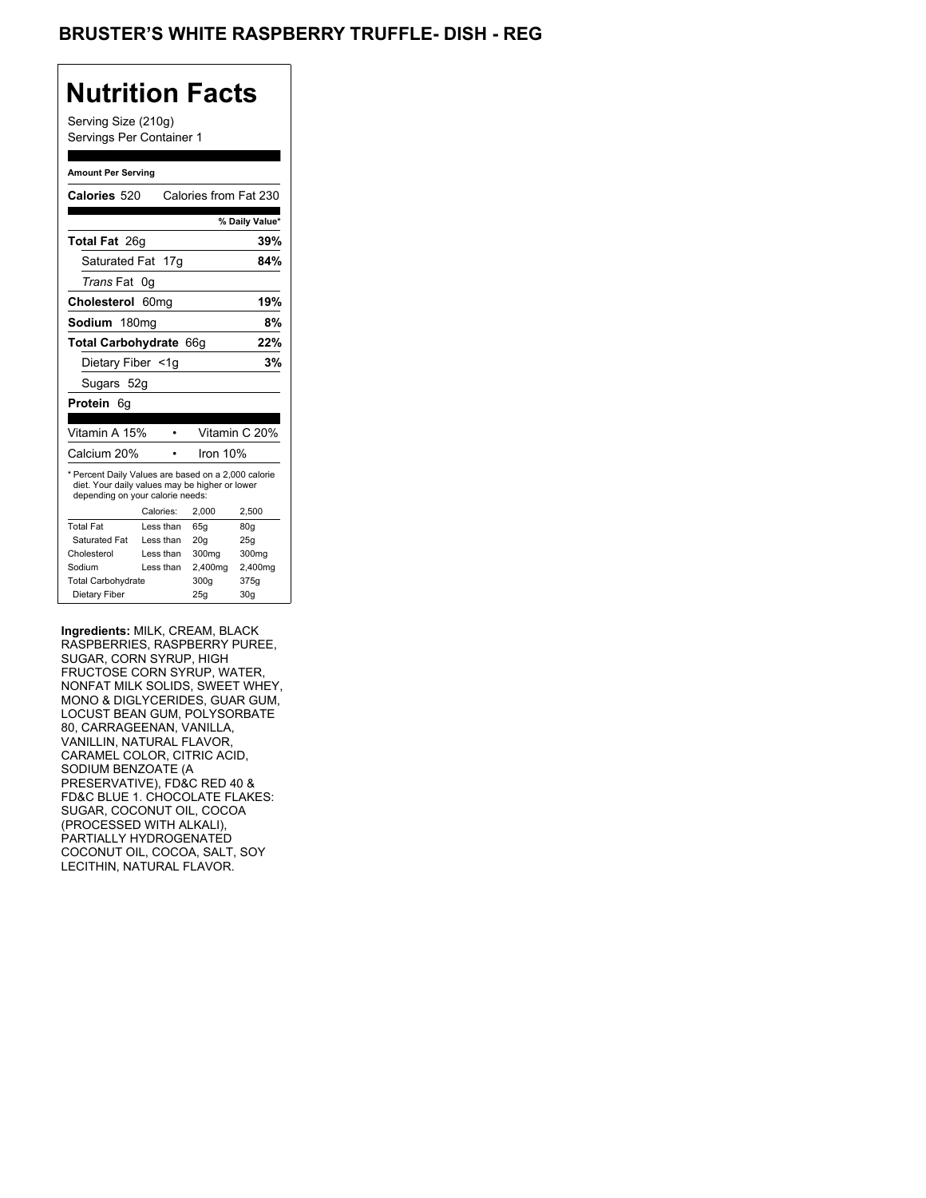## BRUSTER'S WHITE RASPBERRY TRUFFLE- DISH - REG

# **Nutrition Facts**

Serving Size (210g) Servings Per Container 1

#### **Amount Per Serving**

| Calories 520                                                                                                                              |                  |           | Calories from Fat 230 |                 |
|-------------------------------------------------------------------------------------------------------------------------------------------|------------------|-----------|-----------------------|-----------------|
|                                                                                                                                           |                  |           |                       | % Daily Value*  |
| Total Fat 26g                                                                                                                             |                  |           |                       | 39%             |
| Saturated Fat 17g                                                                                                                         |                  |           |                       | 84%             |
| <i>Trans</i> Fat                                                                                                                          | 0g               |           |                       |                 |
| Cholesterol                                                                                                                               | 60 <sub>mq</sub> |           |                       | 19%             |
| Sodium 180mg                                                                                                                              |                  |           |                       | 8%              |
| Total Carbohydrate 66g                                                                                                                    |                  |           |                       | 22%             |
| Dietary Fiber <1g                                                                                                                         |                  |           |                       | 3%              |
| Sugars 52g                                                                                                                                |                  |           |                       |                 |
| Protein<br>6g                                                                                                                             |                  |           |                       |                 |
|                                                                                                                                           |                  |           |                       |                 |
| Vitamin A 15%                                                                                                                             |                  |           |                       | Vitamin C 20%   |
| Calcium 20%                                                                                                                               |                  |           | Iron 10%              |                 |
| * Percent Daily Values are based on a 2,000 calorie<br>diet. Your daily values may be higher or lower<br>depending on your calorie needs: |                  |           |                       |                 |
|                                                                                                                                           | Calories:        |           | 2.000                 | 2,500           |
| <b>Total Fat</b>                                                                                                                          |                  | Less than | 65q                   | 80q             |
| Saturated Fat                                                                                                                             |                  | Less than | 20 <sub>g</sub>       | 25q             |
| Cholesterol                                                                                                                               |                  | Less than | 300mg                 | 300mg           |
| Sodium                                                                                                                                    |                  | Less than | 2,400mg               | 2,400mg         |
| <b>Total Carbohydrate</b>                                                                                                                 |                  |           | 300g                  | 375g            |
| Dietary Fiber                                                                                                                             |                  |           | 25q                   | 30 <sub>g</sub> |
|                                                                                                                                           |                  |           |                       |                 |

**Ingredients:** MILK, CREAM, BLACK RASPBERRIES, RASPBERRY PUREE, SUGAR, CORN SYRUP, HIGH FRUCTOSE CORN SYRUP, WATER, NONFAT MILK SOLIDS, SWEET WHEY, MONO & DIGLYCERIDES, GUAR GUM, LOCUST BEAN GUM, POLYSORBATE 80, CARRAGEENAN, VANILLA, VANILLIN, NATURAL FLAVOR, CARAMEL COLOR, CITRIC ACID, SODIUM BENZOATE (A PRESERVATIVE), FD&C RED 40 & FD&C BLUE 1. CHOCOLATE FLAKES: SUGAR, COCONUT OIL, COCOA (PROCESSED WITH ALKALI), PARTIALLY HYDROGENATED COCONUT OIL, COCOA, SALT, SOY LECITHIN, NATURAL FLAVOR.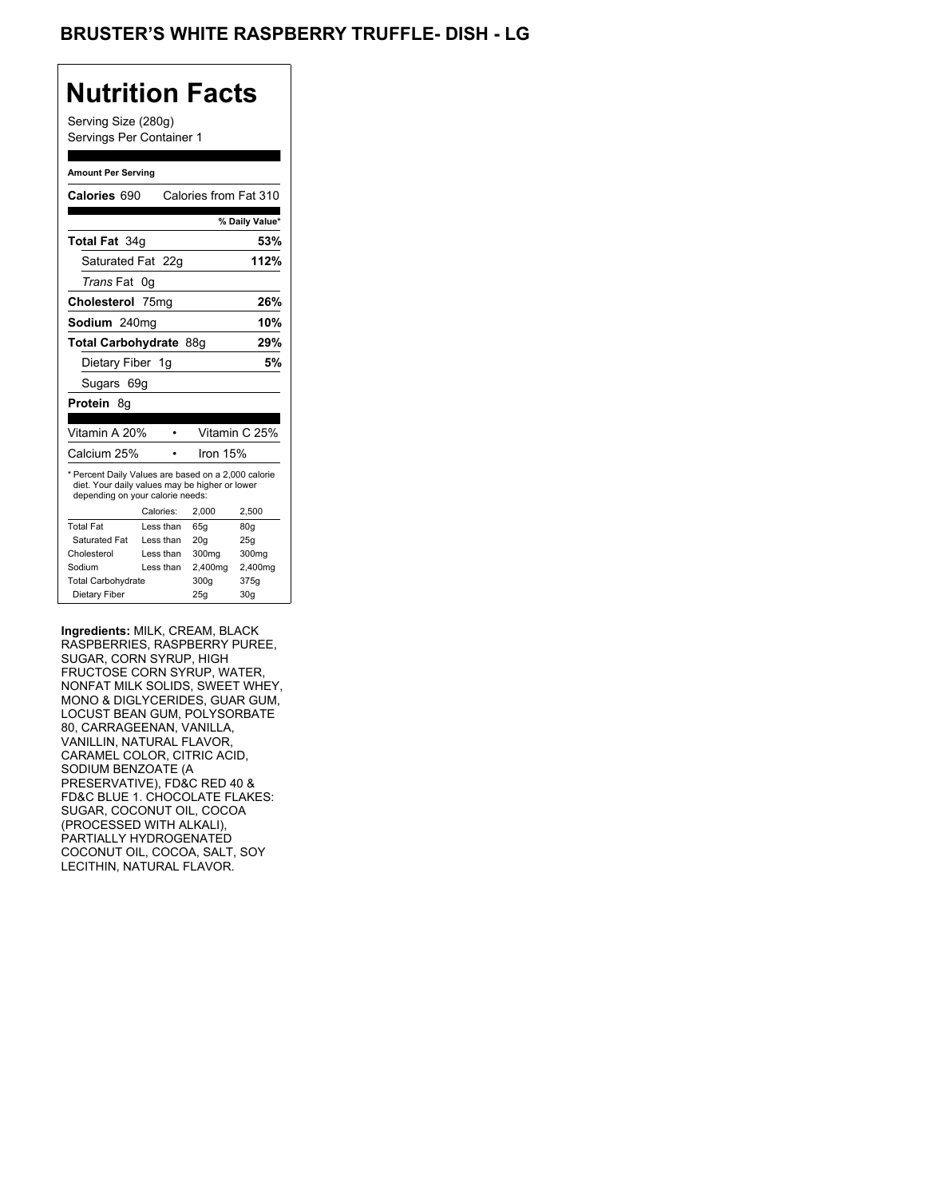# **Nutrition Facts**

Serving Size (280g) Servings Per Container 1

#### **Amount Per Serving**

| Calories 690                                                                                                                              |           | Calories from Fat 310 |                |
|-------------------------------------------------------------------------------------------------------------------------------------------|-----------|-----------------------|----------------|
|                                                                                                                                           |           |                       | % Daily Value* |
| Total Fat 34g                                                                                                                             |           |                       | 53%            |
| Saturated Fat 22g                                                                                                                         |           |                       | 112%           |
| <i>Trans</i> Fat                                                                                                                          | 0g        |                       |                |
| Cholesterol 75mg                                                                                                                          |           |                       | 26%            |
| Sodium 240ma                                                                                                                              |           |                       | 10%            |
| Total Carbohydrate 88q                                                                                                                    |           |                       | 29%            |
| Dietary Fiber 1g                                                                                                                          |           |                       | 5%             |
| Sugars 69g                                                                                                                                |           |                       |                |
|                                                                                                                                           |           |                       |                |
| <b>Protein 8a</b>                                                                                                                         |           |                       |                |
|                                                                                                                                           |           |                       |                |
| Vitamin A 20%                                                                                                                             |           |                       | Vitamin C 25%  |
| Calcium 25%                                                                                                                               |           | Iron 15%              |                |
| * Percent Daily Values are based on a 2,000 calorie<br>diet. Your daily values may be higher or lower<br>depending on your calorie needs: |           |                       |                |
|                                                                                                                                           | Calories: | 2.000                 | 2.500          |
| <b>Total Fat</b>                                                                                                                          | Less than | 65q                   | 80q            |
| Saturated Fat                                                                                                                             | Less than | 20q                   | 25g            |
| Cholesterol                                                                                                                               | Less than | 300mg                 | 300mg          |
| Sodium                                                                                                                                    | Less than | 2,400mg               | 2,400mg        |
| <b>Total Carbohydrate</b>                                                                                                                 |           | 300g                  | 375g           |

**Ingredients:** MILK, CREAM, BLACK RASPBERRIES, RASPBERRY PUREE, SUGAR, CORN SYRUP, HIGH FRUCTOSE CORN SYRUP, WATER, NONFAT MILK SOLIDS, SWEET WHEY, MONO & DIGLYCERIDES, GUAR GUM, LOCUST BEAN GUM, POLYSORBATE 80, CARRAGEENAN, VANILLA, VANILLIN, NATURAL FLAVOR, CARAMEL COLOR, CITRIC ACID, SODIUM BENZOATE (A PRESERVATIVE), FD&C RED 40 & FD&C BLUE 1. CHOCOLATE FLAKES: SUGAR, COCONUT OIL, COCOA (PROCESSED WITH ALKALI), PARTIALLY HYDROGENATED COCONUT OIL, COCOA, SALT, SOY LECITHIN, NATURAL FLAVOR.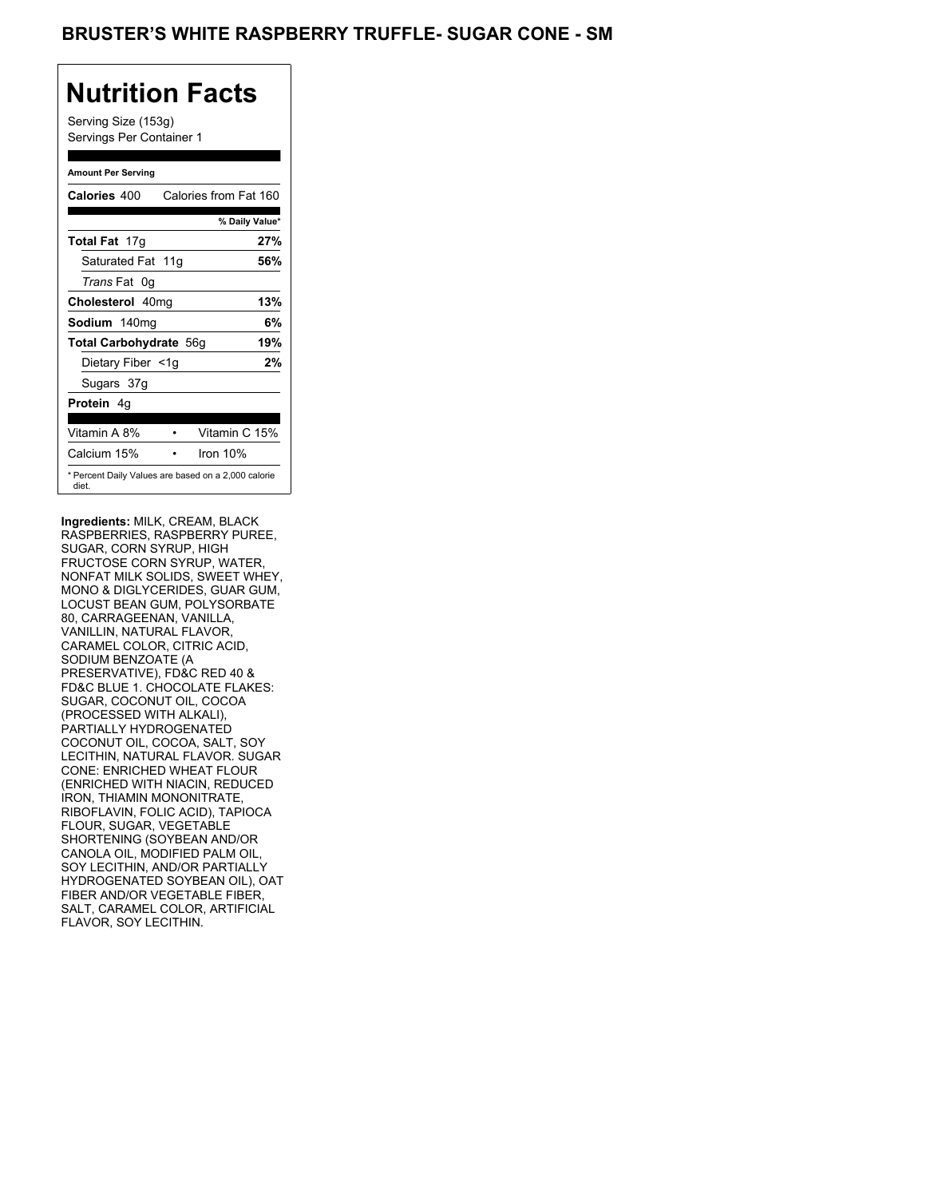## BRUSTER'S WHITE RASPBERRY TRUFFLE- SUGAR CONE - SM

## **Nutrition Facts**

Serving Size (153g) Servings Per Container 1

#### **Amount Per Serving**

| Calories 400                                                 | Calories from Fat 160 |     |
|--------------------------------------------------------------|-----------------------|-----|
|                                                              | % Daily Value*        |     |
| <b>Total Fat 17g</b>                                         |                       | 27% |
| Saturated Fat 11g                                            |                       | 56% |
| <i>Trans</i> Fat 0q                                          |                       |     |
| Cholesterol 40mg                                             |                       | 13% |
| Sodium 140mg                                                 |                       | 6%  |
| Total Carbohydrate 56g                                       |                       | 19% |
| Dietary Fiber <1g                                            |                       | 2%  |
| Sugars 37g                                                   |                       |     |
| <b>Protein 4g</b>                                            |                       |     |
| Vitamin A 8%                                                 | Vitamin C 15%         |     |
| Calcium 15%                                                  | Iron $10\%$           |     |
| * Percent Daily Values are based on a 2,000 calorie<br>diet. |                       |     |

**Ingredients:** MILK, CREAM, BLACK RASPBERRIES, RASPBERRY PUREE, SUGAR, CORN SYRUP, HIGH FRUCTOSE CORN SYRUP, WATER, NONFAT MILK SOLIDS, SWEET WHEY, MONO & DIGLYCERIDES, GUAR GUM, LOCUST BEAN GUM, POLYSORBATE 80, CARRAGEENAN, VANILLA, VANILLIN, NATURAL FLAVOR, CARAMEL COLOR, CITRIC ACID, SODIUM BENZOATE (A PRESERVATIVE), FD&C RED 40 & FD&C BLUE 1. CHOCOLATE FLAKES: SUGAR, COCONUT OIL, COCOA (PROCESSED WITH ALKALI), PARTIALLY HYDROGENATED COCONUT OIL, COCOA, SALT, SOY LECITHIN, NATURAL FLAVOR. SUGAR CONE: ENRICHED WHEAT FLOUR (ENRICHED WITH NIACIN, REDUCED IRON, THIAMIN MONONITRATE, RIBOFLAVIN, FOLIC ACID), TAPIOCA FLOUR, SUGAR, VEGETABLE SHORTENING (SOYBEAN AND/OR CANOLA OIL, MODIFIED PALM OIL, SOY LECITHIN, AND/OR PARTIALLY HYDROGENATED SOYBEAN OIL), OAT FIBER AND/OR VEGETABLE FIBER, SALT, CARAMEL COLOR, ARTIFICIAL FLAVOR, SOY LECITHIN.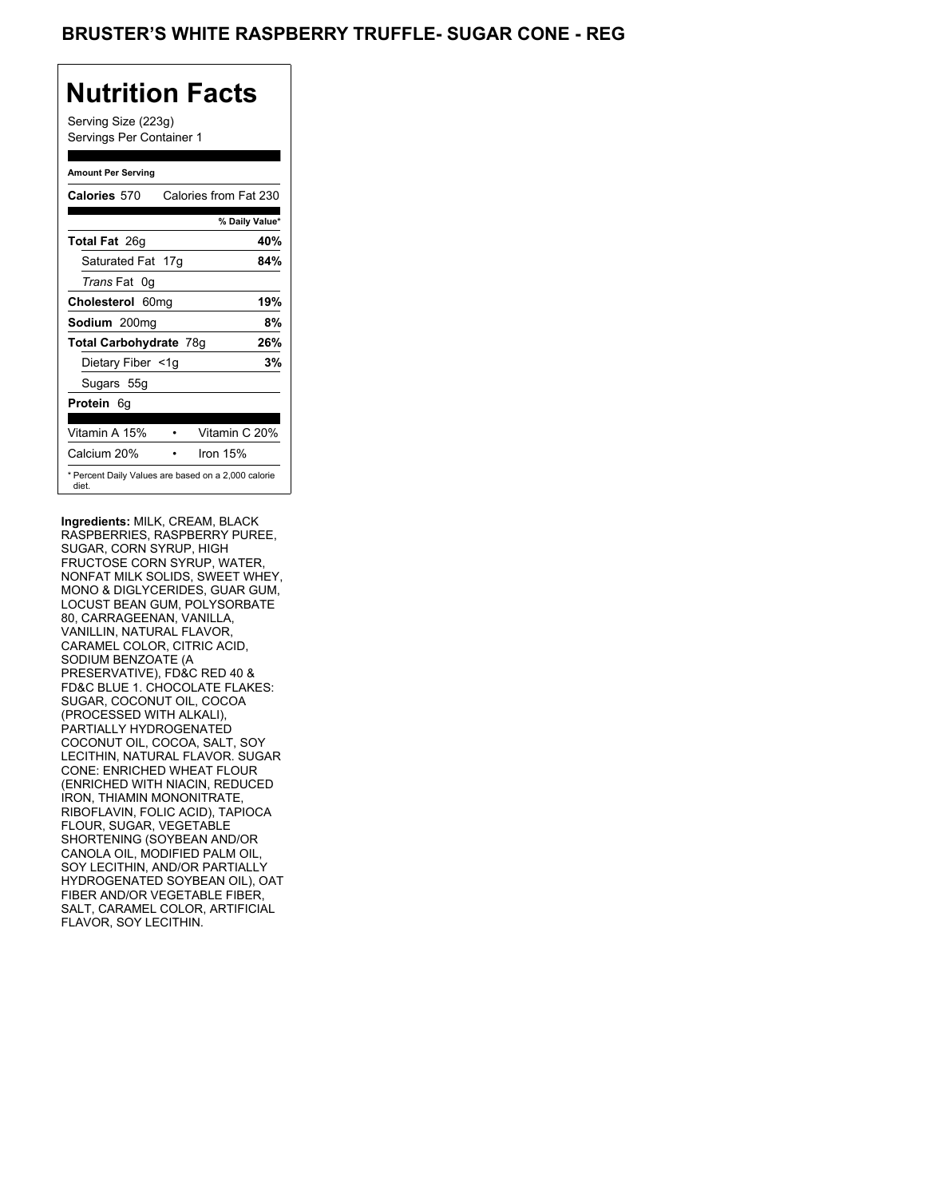## **BRUSTER'S WHITE RASPBERRY TRUFFLE- SUGAR CONE - REG**

# **Nutrition Facts**

Serving Size (223g) Servings Per Container 1

#### **Amount Per Serving**

| Calories 570                                                 | Calories from Fat 230 |                |
|--------------------------------------------------------------|-----------------------|----------------|
|                                                              |                       | % Daily Value* |
| <b>Total Fat</b> 26g                                         |                       | 40%            |
| Saturated Fat 17g                                            |                       | 84%            |
| <i>Trans</i> Fat 0q                                          |                       |                |
| Cholesterol 60mg                                             |                       | 19%            |
| Sodium 200mg                                                 |                       | 8%             |
| Total Carbohydrate 78g                                       |                       | 26%            |
| Dietary Fiber <1g                                            |                       | 3%             |
| Sugars 55g                                                   |                       |                |
| <b>Protein</b> 6q                                            |                       |                |
| Vitamin A 15%                                                | Vitamin C 20%         |                |
| Calcium 20%                                                  | Iron $15%$            |                |
| * Percent Daily Values are based on a 2,000 calorie<br>diet. |                       |                |

**Ingredients:** MILK, CREAM, BLACK RASPBERRIES, RASPBERRY PUREE, SUGAR, CORN SYRUP, HIGH FRUCTOSE CORN SYRUP, WATER, NONFAT MILK SOLIDS, SWEET WHEY, MONO & DIGLYCERIDES, GUAR GUM, LOCUST BEAN GUM, POLYSORBATE 80, CARRAGEENAN, VANILLA, VANILLIN, NATURAL FLAVOR, CARAMEL COLOR, CITRIC ACID, SODIUM BENZOATE (A PRESERVATIVE), FD&C RED 40 & FD&C BLUE 1. CHOCOLATE FLAKES: SUGAR, COCONUT OIL, COCOA (PROCESSED WITH ALKALI), PARTIALLY HYDROGENATED COCONUT OIL, COCOA, SALT, SOY LECITHIN, NATURAL FLAVOR. SUGAR CONE: ENRICHED WHEAT FLOUR (ENRICHED WITH NIACIN, REDUCED IRON, THIAMIN MONONITRATE, RIBOFLAVIN, FOLIC ACID), TAPIOCA FLOUR, SUGAR, VEGETABLE SHORTENING (SOYBEAN AND/OR CANOLA OIL, MODIFIED PALM OIL, SOY LECITHIN, AND/OR PARTIALLY HYDROGENATED SOYBEAN OIL), OAT FIBER AND/OR VEGETABLE FIBER, SALT, CARAMEL COLOR, ARTIFICIAL FLAVOR, SOY LECITHIN.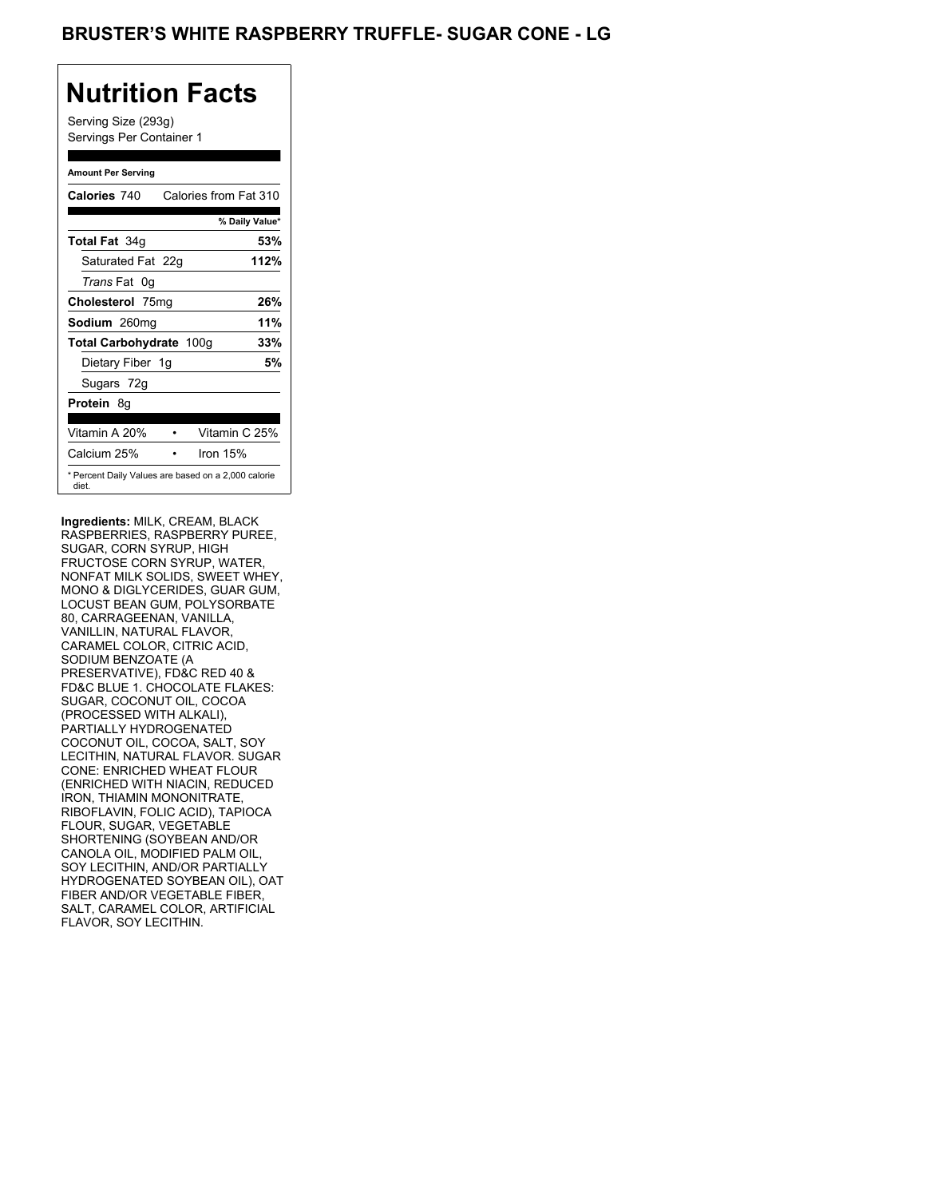## **BRUSTER'S WHITE RASPBERRY TRUFFLE- SUGAR CONE - LG**

# **Nutrition Facts**

Serving Size (293g) Servings Per Container 1

#### **Amount Per Serving**

| Calories 740                                                 | Calories from Fat 310 |                |
|--------------------------------------------------------------|-----------------------|----------------|
|                                                              |                       | % Daily Value* |
| <b>Total Fat 34g</b>                                         |                       | 53%            |
| Saturated Fat 22g                                            |                       | 112%           |
| <i>Trans</i> Fat 0q                                          |                       |                |
| Cholesterol 75mg                                             |                       | 26%            |
| Sodium 260mg                                                 |                       | 11%            |
| Total Carbohydrate 100g                                      |                       | 33%            |
| Dietary Fiber 1g                                             |                       | 5%             |
| Sugars 72g                                                   |                       |                |
| <b>Protein 8g</b>                                            |                       |                |
| Vitamin A 20%                                                | Vitamin C 25%         |                |
| Calcium 25%                                                  | Iron $15%$            |                |
| * Percent Daily Values are based on a 2,000 calorie<br>diet. |                       |                |

**Ingredients:** MILK, CREAM, BLACK RASPBERRIES, RASPBERRY PUREE, SUGAR, CORN SYRUP, HIGH FRUCTOSE CORN SYRUP, WATER, NONFAT MILK SOLIDS, SWEET WHEY, MONO & DIGLYCERIDES, GUAR GUM, LOCUST BEAN GUM, POLYSORBATE 80, CARRAGEENAN, VANILLA, VANILLIN, NATURAL FLAVOR, CARAMEL COLOR, CITRIC ACID, SODIUM BENZOATE (A PRESERVATIVE), FD&C RED 40 & FD&C BLUE 1. CHOCOLATE FLAKES: SUGAR, COCONUT OIL, COCOA (PROCESSED WITH ALKALI), PARTIALLY HYDROGENATED COCONUT OIL, COCOA, SALT, SOY LECITHIN, NATURAL FLAVOR. SUGAR CONE: ENRICHED WHEAT FLOUR (ENRICHED WITH NIACIN, REDUCED IRON, THIAMIN MONONITRATE, RIBOFLAVIN, FOLIC ACID), TAPIOCA FLOUR, SUGAR, VEGETABLE SHORTENING (SOYBEAN AND/OR CANOLA OIL, MODIFIED PALM OIL, SOY LECITHIN, AND/OR PARTIALLY HYDROGENATED SOYBEAN OIL), OAT FIBER AND/OR VEGETABLE FIBER, SALT, CARAMEL COLOR, ARTIFICIAL FLAVOR, SOY LECITHIN.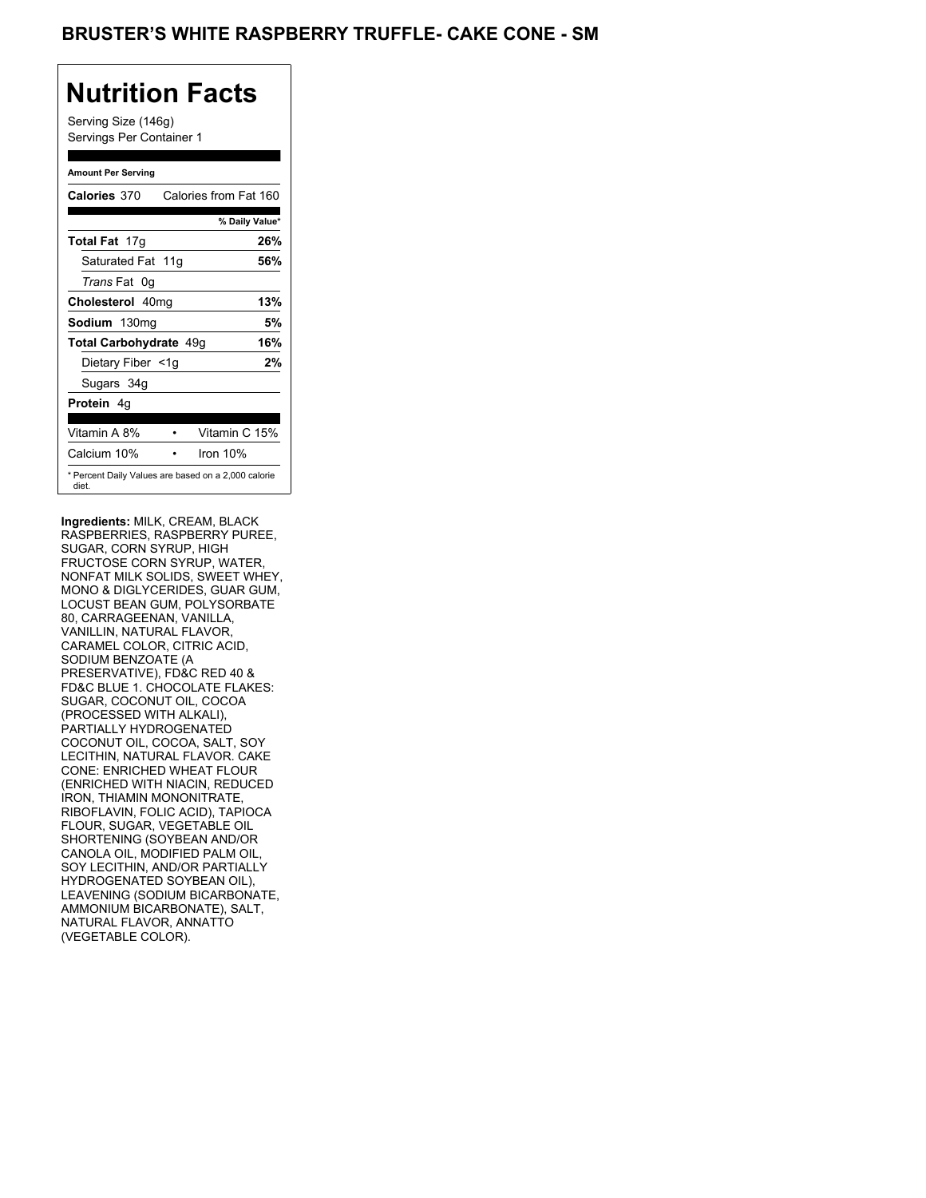## BRUSTER'S WHITE RASPBERRY TRUFFLE- CAKE CONE - SM

## **Nutrition Facts**

Serving Size (146g) Servings Per Container 1

#### **Amount Per Serving**

| Calories 370                                                 | Calories from Fat 160 |     |
|--------------------------------------------------------------|-----------------------|-----|
|                                                              | % Daily Value*        |     |
| <b>Total Fat</b> 17g                                         |                       | 26% |
| Saturated Fat 11g                                            |                       | 56% |
| <i>Trans</i> Fat 0q                                          |                       |     |
| Cholesterol 40mg                                             |                       | 13% |
| Sodium 130mg                                                 |                       | 5%  |
| Total Carbohydrate 49g                                       |                       | 16% |
| Dietary Fiber <1g                                            |                       | 2%  |
| Sugars 34g                                                   |                       |     |
| <b>Protein</b> 4q                                            |                       |     |
| Vitamin A 8%                                                 | Vitamin C 15%         |     |
| Calcium 10%                                                  | Iron $10\%$           |     |
| * Percent Daily Values are based on a 2,000 calorie<br>diet. |                       |     |

**Ingredients:** MILK, CREAM, BLACK RASPBERRIES, RASPBERRY PUREE, SUGAR, CORN SYRUP, HIGH FRUCTOSE CORN SYRUP, WATER, NONFAT MILK SOLIDS, SWEET WHEY, MONO & DIGLYCERIDES, GUAR GUM, LOCUST BEAN GUM, POLYSORBATE 80, CARRAGEENAN, VANILLA, VANILLIN, NATURAL FLAVOR, CARAMEL COLOR, CITRIC ACID, SODIUM BENZOATE (A PRESERVATIVE), FD&C RED 40 & FD&C BLUE 1. CHOCOLATE FLAKES: SUGAR, COCONUT OIL, COCOA (PROCESSED WITH ALKALI), PARTIALLY HYDROGENATED COCONUT OIL, COCOA, SALT, SOY LECITHIN, NATURAL FLAVOR. CAKE CONE: ENRICHED WHEAT FLOUR (ENRICHED WITH NIACIN, REDUCED IRON, THIAMIN MONONITRATE, RIBOFLAVIN, FOLIC ACID), TAPIOCA FLOUR, SUGAR, VEGETABLE OIL SHORTENING (SOYBEAN AND/OR CANOLA OIL, MODIFIED PALM OIL, SOY LECITHIN, AND/OR PARTIALLY HYDROGENATED SOYBEAN OIL), LEAVENING (SODIUM BICARBONATE, AMMONIUM BICARBONATE), SALT, NATURAL FLAVOR, ANNATTO (VEGETABLE COLOR).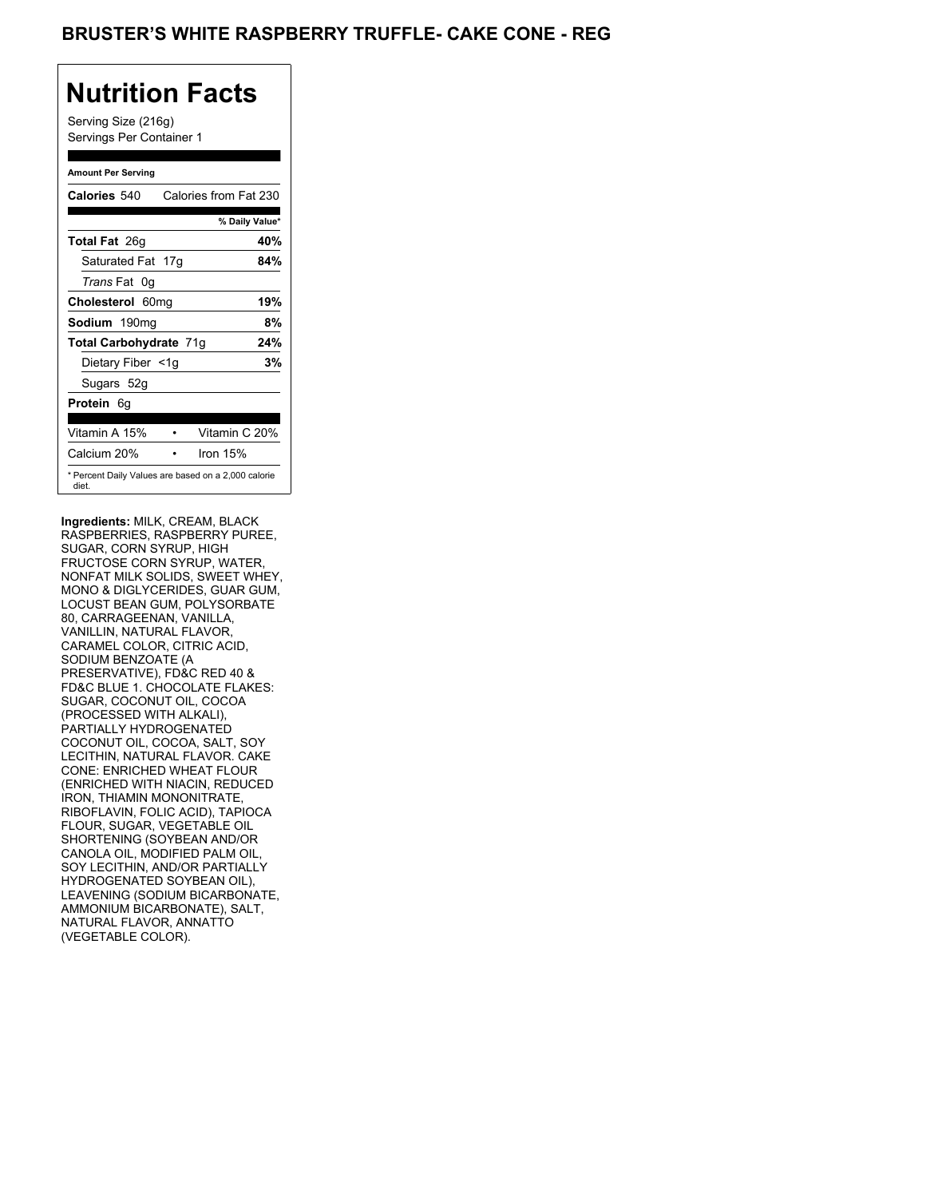## **BRUSTER'S WHITE RASPBERRY TRUFFLE- CAKE CONE - REG**

# **Nutrition Facts**

Serving Size (216g) Servings Per Container 1

#### **Amount Per Serving**

| Calories 540                                                 | Calories from Fat 230 |                |
|--------------------------------------------------------------|-----------------------|----------------|
|                                                              |                       | % Daily Value* |
| <b>Total Fat</b> 26g                                         |                       | 40%            |
| Saturated Fat 17g                                            |                       | 84%            |
| <i>Trans</i> Fat 0q                                          |                       |                |
| Cholesterol 60mg                                             |                       | 19%            |
| Sodium 190mg                                                 |                       | 8%             |
| Total Carbohydrate 71g                                       |                       | 24%            |
| Dietary Fiber <1g                                            |                       | 3%             |
| Sugars 52g                                                   |                       |                |
| <b>Protein</b> 6q                                            |                       |                |
| Vitamin A 15%                                                | Vitamin C 20%         |                |
| Calcium 20%                                                  | Iron $15%$            |                |
| * Percent Daily Values are based on a 2,000 calorie<br>diet. |                       |                |

**Ingredients:** MILK, CREAM, BLACK RASPBERRIES, RASPBERRY PUREE, SUGAR, CORN SYRUP, HIGH FRUCTOSE CORN SYRUP, WATER, NONFAT MILK SOLIDS, SWEET WHEY, MONO & DIGLYCERIDES, GUAR GUM, LOCUST BEAN GUM, POLYSORBATE 80, CARRAGEENAN, VANILLA, VANILLIN, NATURAL FLAVOR, CARAMEL COLOR, CITRIC ACID, SODIUM BENZOATE (A PRESERVATIVE), FD&C RED 40 & FD&C BLUE 1. CHOCOLATE FLAKES: SUGAR, COCONUT OIL, COCOA (PROCESSED WITH ALKALI), PARTIALLY HYDROGENATED COCONUT OIL, COCOA, SALT, SOY LECITHIN, NATURAL FLAVOR. CAKE CONE: ENRICHED WHEAT FLOUR (ENRICHED WITH NIACIN, REDUCED IRON, THIAMIN MONONITRATE, RIBOFLAVIN, FOLIC ACID), TAPIOCA FLOUR, SUGAR, VEGETABLE OIL SHORTENING (SOYBEAN AND/OR CANOLA OIL, MODIFIED PALM OIL, SOY LECITHIN, AND/OR PARTIALLY HYDROGENATED SOYBEAN OIL), LEAVENING (SODIUM BICARBONATE, AMMONIUM BICARBONATE), SALT, NATURAL FLAVOR, ANNATTO (VEGETABLE COLOR).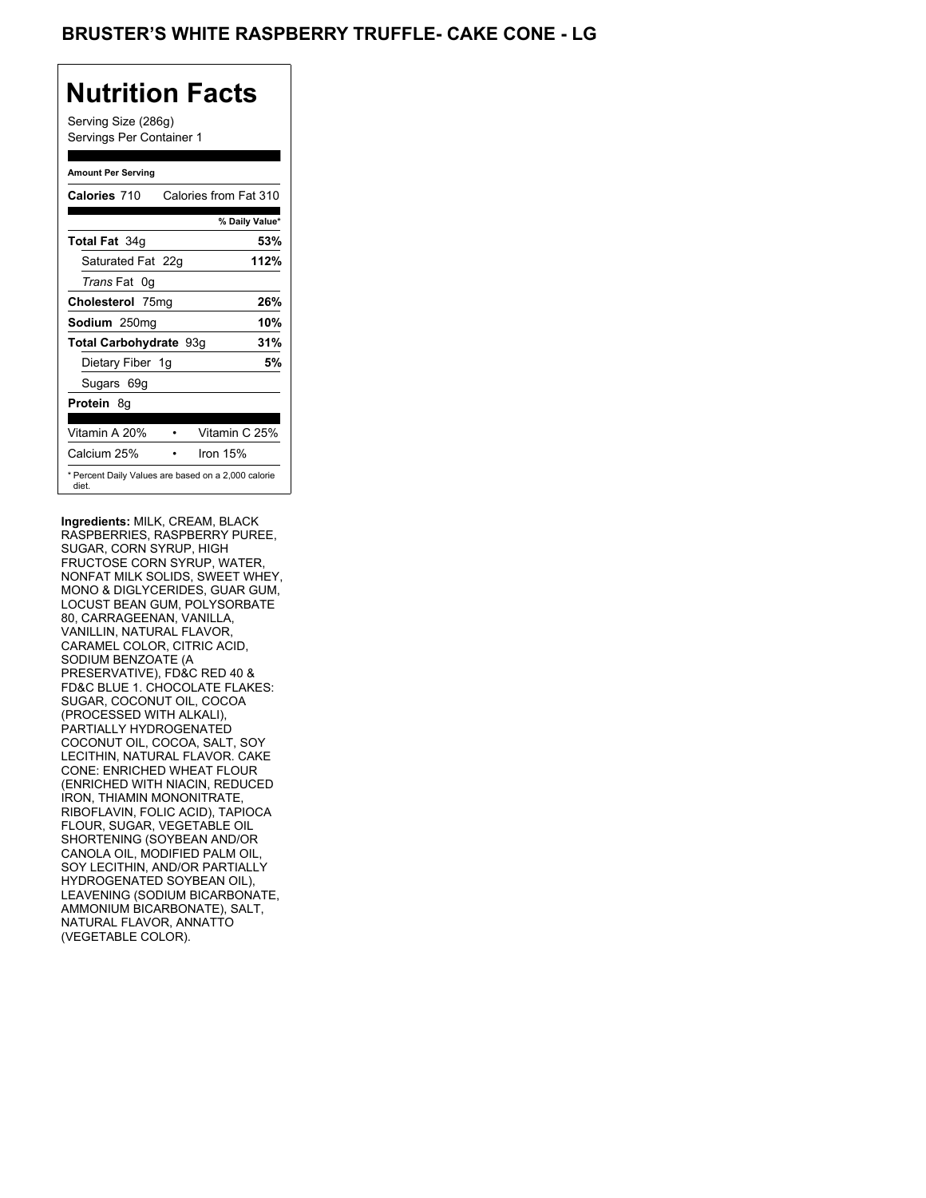## **BRUSTER'S WHITE RASPBERRY TRUFFLE- CAKE CONE - LG**

# **Nutrition Facts**

Serving Size (286g) Servings Per Container 1

#### **Amount Per Serving**

| Calories 710                                                 | Calories from Fat 310 |      |
|--------------------------------------------------------------|-----------------------|------|
|                                                              | % Daily Value*        |      |
| <b>Total Fat 34g</b>                                         |                       | 53%  |
| Saturated Fat 22g                                            |                       | 112% |
| Trans Fat 0q                                                 |                       |      |
| Cholesterol 75mg                                             |                       | 26%  |
| Sodium 250mg                                                 |                       | 10%  |
| Total Carbohydrate 93g                                       |                       | 31%  |
| Dietary Fiber 1g                                             |                       | 5%   |
| Sugars 69g                                                   |                       |      |
| <b>Protein</b> 8q                                            |                       |      |
| Vitamin A 20%                                                | Vitamin C 25%         |      |
| Calcium 25%                                                  | Iron 15%              |      |
| * Percent Daily Values are based on a 2,000 calorie<br>diet. |                       |      |

**Ingredients:** MILK, CREAM, BLACK RASPBERRIES, RASPBERRY PUREE, SUGAR, CORN SYRUP, HIGH FRUCTOSE CORN SYRUP, WATER, NONFAT MILK SOLIDS, SWEET WHEY, MONO & DIGLYCERIDES, GUAR GUM, LOCUST BEAN GUM, POLYSORBATE 80, CARRAGEENAN, VANILLA, VANILLIN, NATURAL FLAVOR, CARAMEL COLOR, CITRIC ACID, SODIUM BENZOATE (A PRESERVATIVE), FD&C RED 40 & FD&C BLUE 1. CHOCOLATE FLAKES: SUGAR, COCONUT OIL, COCOA (PROCESSED WITH ALKALI), PARTIALLY HYDROGENATED COCONUT OIL, COCOA, SALT, SOY LECITHIN, NATURAL FLAVOR. CAKE CONE: ENRICHED WHEAT FLOUR (ENRICHED WITH NIACIN, REDUCED IRON, THIAMIN MONONITRATE, RIBOFLAVIN, FOLIC ACID), TAPIOCA FLOUR, SUGAR, VEGETABLE OIL SHORTENING (SOYBEAN AND/OR CANOLA OIL, MODIFIED PALM OIL, SOY LECITHIN, AND/OR PARTIALLY HYDROGENATED SOYBEAN OIL), LEAVENING (SODIUM BICARBONATE, AMMONIUM BICARBONATE), SALT, NATURAL FLAVOR, ANNATTO (VEGETABLE COLOR).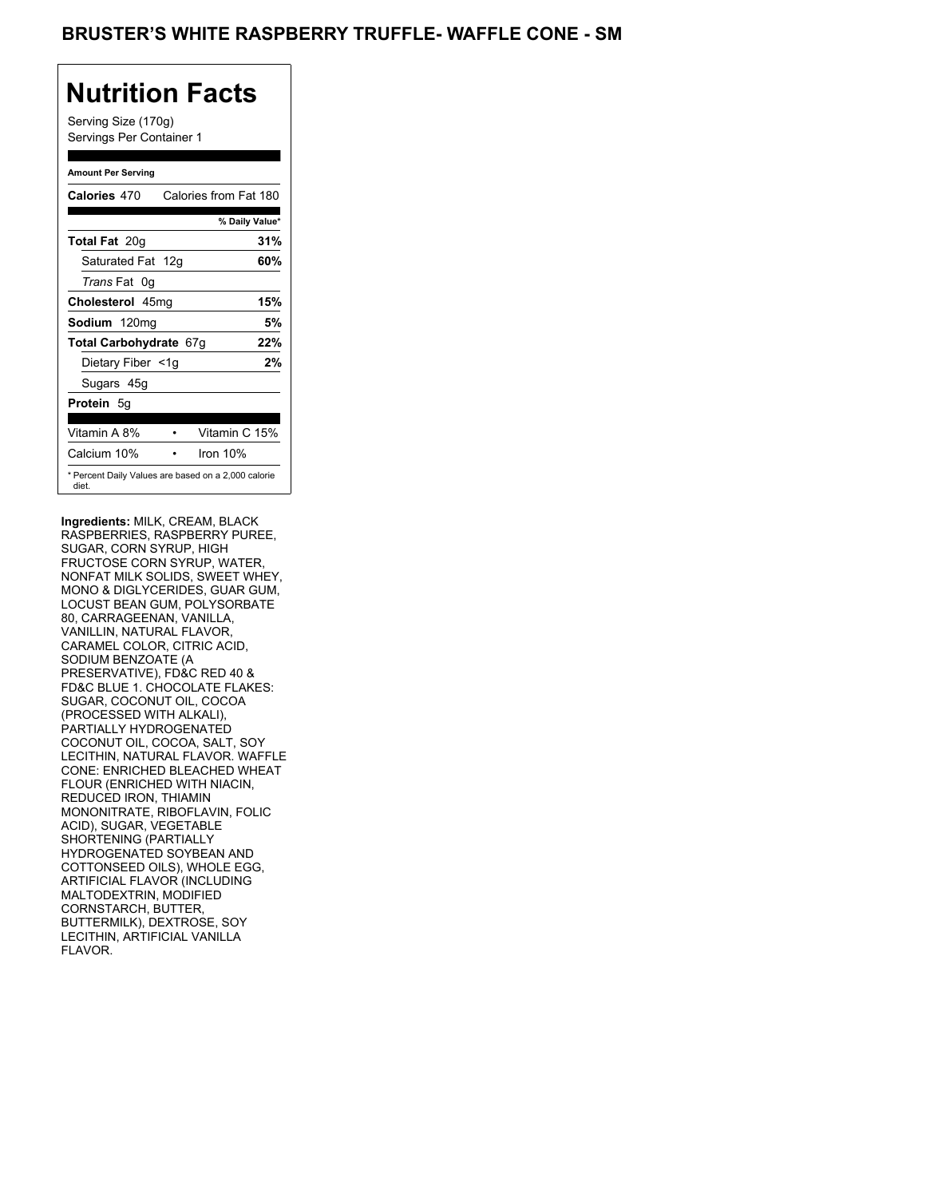## BRUSTER'S WHITE RASPBERRY TRUFFLE- WAFFLE CONE - SM

## **Nutrition Facts**

Serving Size (170g) Servings Per Container 1

#### **Amount Per Serving**

| Calories 470                                                 | Calories from Fat 180 |     |
|--------------------------------------------------------------|-----------------------|-----|
|                                                              | % Daily Value*        |     |
| <b>Total Fat 20g</b>                                         |                       | 31% |
| Saturated Fat 12g                                            |                       | 60% |
| <i>Trans</i> Fat 0q                                          |                       |     |
| Cholesterol 45mg                                             |                       | 15% |
| Sodium 120mg                                                 |                       | 5%  |
| Total Carbohydrate 67g                                       |                       | 22% |
| Dietary Fiber <1g                                            |                       | 2%  |
| Sugars 45g                                                   |                       |     |
| <b>Protein</b> 5g                                            |                       |     |
| Vitamin A 8%                                                 | Vitamin C 15%         |     |
| Calcium 10%                                                  | Iron 10%              |     |
| * Percent Daily Values are based on a 2,000 calorie<br>diet. |                       |     |

**Ingredients:** MILK, CREAM, BLACK RASPBERRIES, RASPBERRY PUREE, SUGAR, CORN SYRUP, HIGH FRUCTOSE CORN SYRUP, WATER, NONFAT MILK SOLIDS, SWEET WHEY, MONO & DIGLYCERIDES, GUAR GUM, LOCUST BEAN GUM, POLYSORBATE 80, CARRAGEENAN, VANILLA, VANILLIN, NATURAL FLAVOR, CARAMEL COLOR, CITRIC ACID, SODIUM BENZOATE (A PRESERVATIVE), FD&C RED 40 & FD&C BLUE 1. CHOCOLATE FLAKES: SUGAR, COCONUT OIL, COCOA (PROCESSED WITH ALKALI), PARTIALLY HYDROGENATED COCONUT OIL, COCOA, SALT, SOY LECITHIN, NATURAL FLAVOR. WAFFLE CONE: ENRICHED BLEACHED WHEAT FLOUR (ENRICHED WITH NIACIN, REDUCED IRON, THIAMIN MONONITRATE, RIBOFLAVIN, FOLIC ACID), SUGAR, VEGETABLE SHORTENING (PARTIALLY HYDROGENATED SOYBEAN AND COTTONSEED OILS), WHOLE EGG, ARTIFICIAL FLAVOR (INCLUDING MALTODEXTRIN, MODIFIED CORNSTARCH, BUTTER, BUTTERMILK), DEXTROSE, SOY LECITHIN, ARTIFICIAL VANILLA FLAVOR.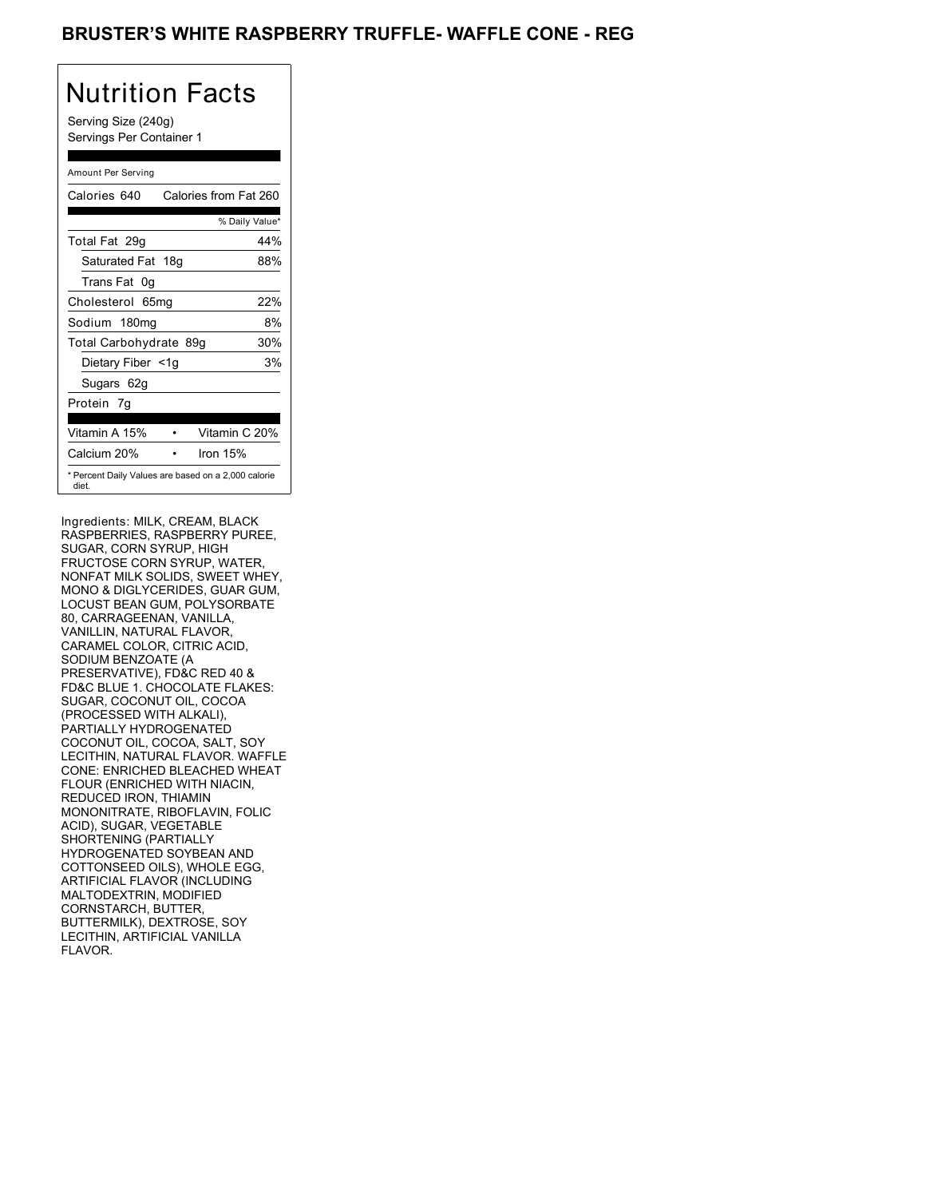## BRUSTER'S WHITE RASPBERRY TRUFFLE- WAFFLE CONE - REG

# Nutrition Facts

Serving Size (240g) Servings Per Container 1

#### Amount Per Serving

| Calories 640                                                 | Calories from Fat 260 |     |
|--------------------------------------------------------------|-----------------------|-----|
|                                                              | % Daily Value*        |     |
| Total Fat 29g                                                |                       | 44% |
| Saturated Fat 18g                                            |                       | 88% |
| Trans Fat 0q                                                 |                       |     |
| Cholesterol 65mg                                             |                       | 22% |
| Sodium 180mg                                                 |                       | 8%  |
| Total Carbohydrate 89g                                       |                       | 30% |
| Dietary Fiber <1g                                            |                       | 3%  |
| Sugars 62g                                                   |                       |     |
| Protein 7q                                                   |                       |     |
| Vitamin A 15%                                                | Vitamin C 20%         |     |
| Calcium 20%                                                  | Iron $15%$            |     |
| * Percent Daily Values are based on a 2,000 calorie<br>diet. |                       |     |

Ingredients: MILK, CREAM, BLACK RASPBERRIES, RASPBERRY PUREE, SUGAR, CORN SYRUP, HIGH FRUCTOSE CORN SYRUP, WATER, NONFAT MILK SOLIDS, SWEET WHEY, MONO & DIGLYCERIDES, GUAR GUM, LOCUST BEAN GUM, POLYSORBATE 80, CARRAGEENAN, VANILLA, VANILLIN, NATURAL FLAVOR, CARAMEL COLOR, CITRIC ACID, SODIUM BENZOATE (A PRESERVATIVE), FD&C RED 40 & FD&C BLUE 1. CHOCOLATE FLAKES: SUGAR, COCONUT OIL, COCOA (PROCESSED WITH ALKALI), PARTIALLY HYDROGENATED COCONUT OIL, COCOA, SALT, SOY LECITHIN, NATURAL FLAVOR. WAFFLE CONE: ENRICHED BLEACHED WHEAT FLOUR (ENRICHED WITH NIACIN, REDUCED IRON, THIAMIN MONONITRATE, RIBOFLAVIN, FOLIC ACID), SUGAR, VEGETABLE SHORTENING (PARTIALLY HYDROGENATED SOYBEAN AND COTTONSEED OILS), WHOLE EGG, ARTIFICIAL FLAVOR (INCLUDING MALTODEXTRIN, MODIFIED CORNSTARCH, BUTTER, BUTTERMILK), DEXTROSE, SOY LECITHIN, ARTIFICIAL VANILLA FLAVOR.